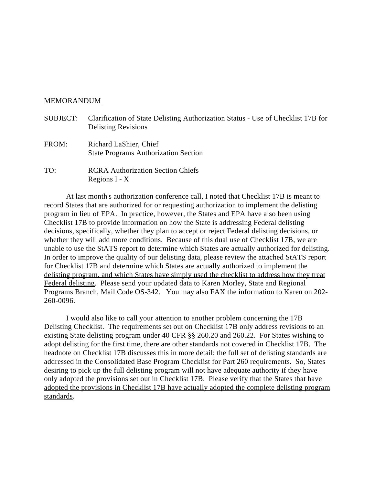## MEMORANDUM

- SUBJECT: Clarification of State Delisting Authorization Status Use of Checklist 17B for Delisting Revisions
- FROM: Richard LaShier, Chief State Programs Authorization Section
- TO: RCRA Authorization Section Chiefs Regions I - X

At last month's authorization conference call, I noted that Checklist 17B is meant to record States that are authorized for or requesting authorization to implement the delisting program in lieu of EPA. In practice, however, the States and EPA have also been using Checklist 17B to provide information on how the State is addressing Federal delisting decisions, specifically, whether they plan to accept or reject Federal delisting decisions, or whether they will add more conditions. Because of this dual use of Checklist 17B, we are unable to use the StATS report to determine which States are actually authorized for delisting. In order to improve the quality of our delisting data, please review the attached StATS report for Checklist 17B and determine which States are actually authorized to implement the delisting program, and which States have simply used the checklist to address how they treat Federal delisting. Please send your updated data to Karen Morley, State and Regional Programs Branch, Mail Code OS-342. You may also FAX the information to Karen on 202- 260-0096.

I would also like to call your attention to another problem concerning the 17B Delisting Checklist. The requirements set out on Checklist 17B only address revisions to an existing State delisting program under 40 CFR §§ 260.20 and 260.22. For States wishing to adopt delisting for the first time, there are other standards not covered in Checklist 17B. The headnote on Checklist 17B discusses this in more detail; the full set of delisting standards are addressed in the Consolidated Base Program Checklist for Part 260 requirements. So, States desiring to pick up the full delisting program will not have adequate authority if they have only adopted the provisions set out in Checklist 17B. Please verify that the States that have adopted the provisions in Checklist 17B have actually adopted the complete delisting program standards.